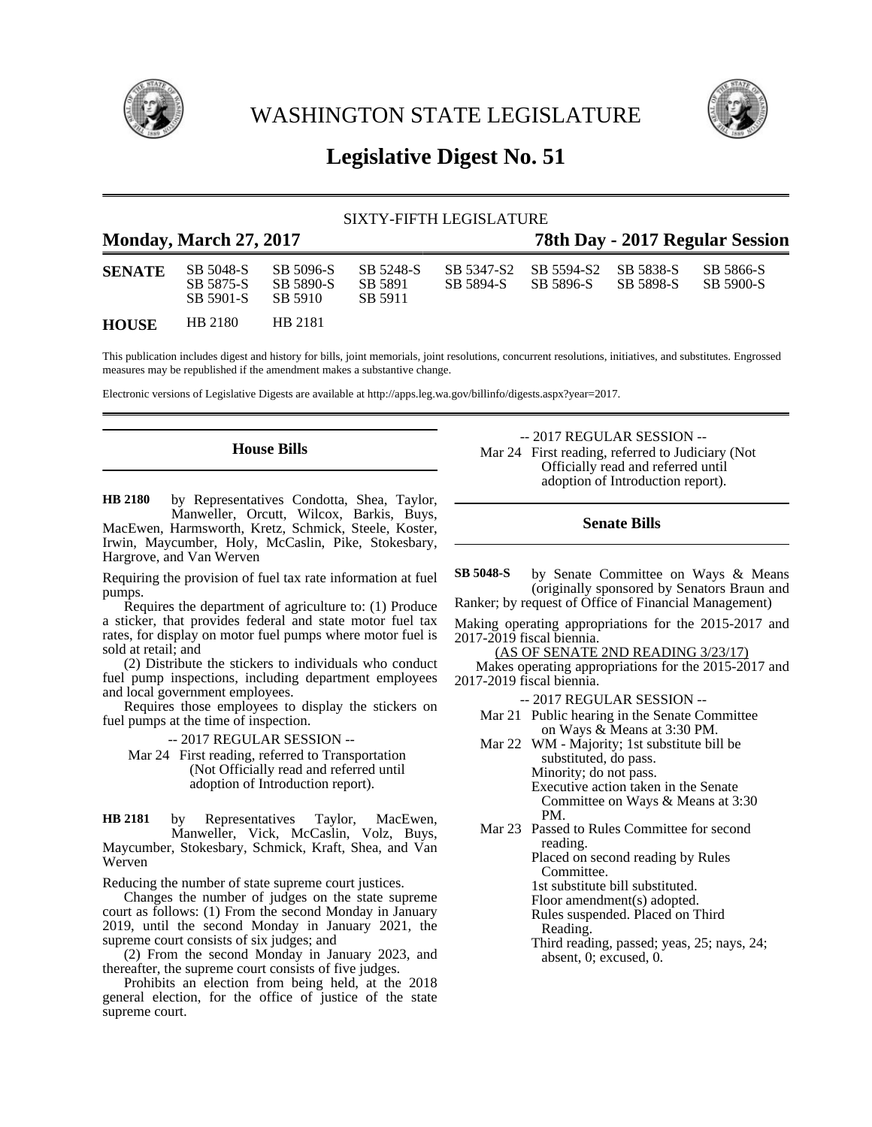

WASHINGTON STATE LEGISLATURE



# **Legislative Digest No. 51**

# SIXTY-FIFTH LEGISLATURE

| <b>Monday, March 27, 2017</b> |                                     |                                   |                                 |                         | 78th Day - 2017 Regular Session |                        |                        |  |
|-------------------------------|-------------------------------------|-----------------------------------|---------------------------------|-------------------------|---------------------------------|------------------------|------------------------|--|
| <b>SENATE</b>                 | SB 5048-S<br>SB 5875-S<br>SB 5901-S | SB 5096-S<br>SB 5890-S<br>SB 5910 | SB 5248-S<br>SB 5891<br>SB 5911 | SB 5347-S2<br>SB 5894-S | SB 5594-S2<br>SB 5896-S         | SB 5838-S<br>SB 5898-S | SB 5866-S<br>SB 5900-S |  |
| <b>HOUSE</b>                  | HB 2180                             | HB 2181                           |                                 |                         |                                 |                        |                        |  |

This publication includes digest and history for bills, joint memorials, joint resolutions, concurrent resolutions, initiatives, and substitutes. Engrossed measures may be republished if the amendment makes a substantive change.

Electronic versions of Legislative Digests are available at http://apps.leg.wa.gov/billinfo/digests.aspx?year=2017.

# **House Bills**

by Representatives Condotta, Shea, Taylor, Manweller, Orcutt, Wilcox, Barkis, Buys, MacEwen, Harmsworth, Kretz, Schmick, Steele, Koster, Irwin, Maycumber, Holy, McCaslin, Pike, Stokesbary, Hargrove, and Van Werven **HB 2180**

Requiring the provision of fuel tax rate information at fuel pumps.

Requires the department of agriculture to: (1) Produce a sticker, that provides federal and state motor fuel tax rates, for display on motor fuel pumps where motor fuel is sold at retail; and

(2) Distribute the stickers to individuals who conduct fuel pump inspections, including department employees and local government employees.

Requires those employees to display the stickers on fuel pumps at the time of inspection.

-- 2017 REGULAR SESSION --

Mar 24 First reading, referred to Transportation (Not Officially read and referred until adoption of Introduction report).

by Representatives Taylor, MacEwen, Manweller, Vick, McCaslin, Volz, Buys, Maycumber, Stokesbary, Schmick, Kraft, Shea, and Van Werven **HB 2181**

Reducing the number of state supreme court justices.

Changes the number of judges on the state supreme court as follows: (1) From the second Monday in January 2019, until the second Monday in January 2021, the supreme court consists of six judges; and

(2) From the second Monday in January 2023, and thereafter, the supreme court consists of five judges.

Prohibits an election from being held, at the 2018 general election, for the office of justice of the state supreme court.

-- 2017 REGULAR SESSION -- Mar 24 First reading, referred to Judiciary (Not Officially read and referred until adoption of Introduction report).

# **Senate Bills**

by Senate Committee on Ways & Means (originally sponsored by Senators Braun and **SB 5048-S**

Ranker; by request of Office of Financial Management)

Making operating appropriations for the 2015-2017 and 2017-2019 fiscal biennia.

(AS OF SENATE 2ND READING 3/23/17)

Makes operating appropriations for the 2015-2017 and 2017-2019 fiscal biennia.

-- 2017 REGULAR SESSION --

- Mar 21 Public hearing in the Senate Committee on Ways & Means at 3:30 PM.
- Mar 22 WM Majority; 1st substitute bill be substituted, do pass. Minority; do not pass. Executive action taken in the Senate Committee on Ways & Means at 3:30 PM.
- Mar 23 Passed to Rules Committee for second reading.

Placed on second reading by Rules Committee.

1st substitute bill substituted.

Floor amendment(s) adopted.

Rules suspended. Placed on Third Reading.

Third reading, passed; yeas, 25; nays, 24; absent, 0; excused, 0.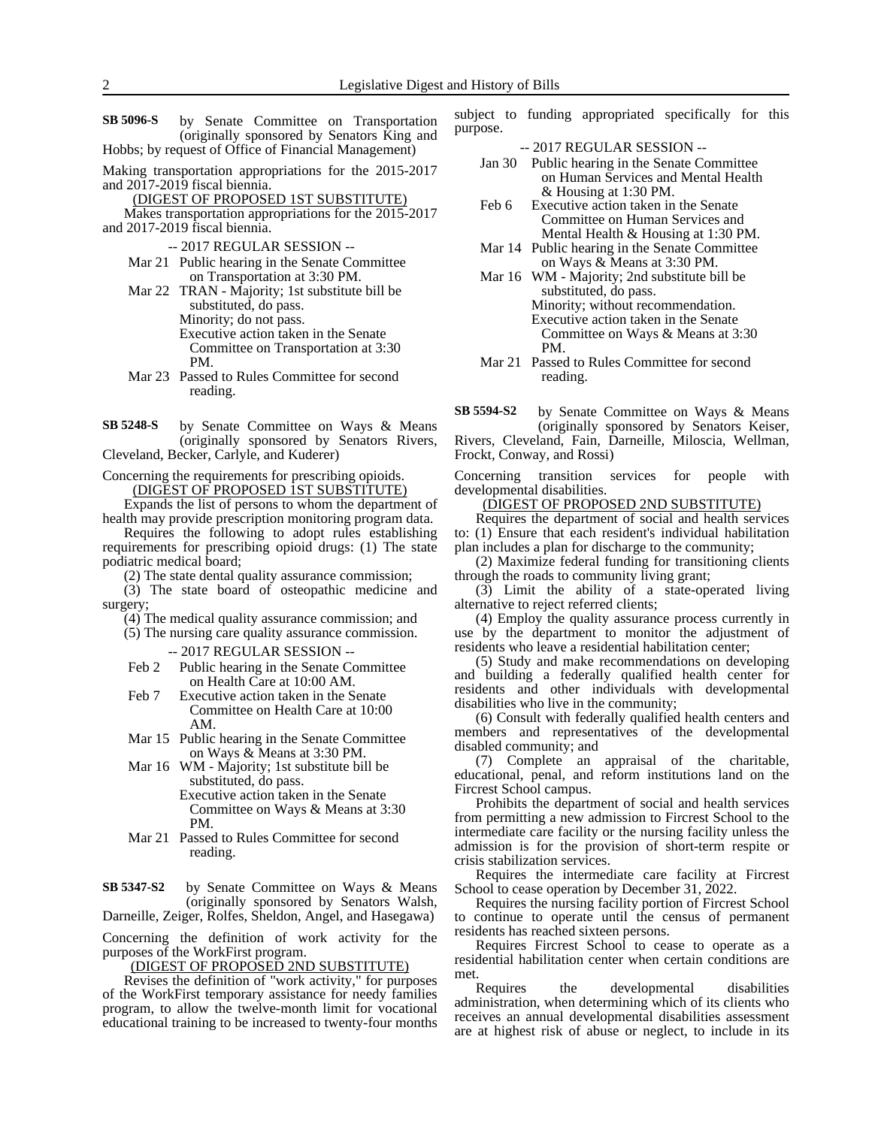- by Senate Committee on Transportation (originally sponsored by Senators King and Hobbs; by request of Office of Financial Management) **SB 5096-S**
- Making transportation appropriations for the 2015-2017 and 2017-2019 fiscal biennia.

(DIGEST OF PROPOSED 1ST SUBSTITUTE)

Makes transportation appropriations for the 2015-2017 and 2017-2019 fiscal biennia.

- -- 2017 REGULAR SESSION --
- Mar 21 Public hearing in the Senate Committee on Transportation at 3:30 PM.
- Mar 22 TRAN Majority; 1st substitute bill be substituted, do pass. Minority; do not pass. Executive action taken in the Senate Committee on Transportation at 3:30 PM.
- Mar 23 Passed to Rules Committee for second reading.
- by Senate Committee on Ways & Means (originally sponsored by Senators Rivers, Cleveland, Becker, Carlyle, and Kuderer) **SB 5248-S**

Concerning the requirements for prescribing opioids. (DIGEST OF PROPOSED 1ST SUBSTITUTE)

Expands the list of persons to whom the department of health may provide prescription monitoring program data.

Requires the following to adopt rules establishing requirements for prescribing opioid drugs: (1) The state podiatric medical board;

(2) The state dental quality assurance commission;

(3) The state board of osteopathic medicine and surgery;

(4) The medical quality assurance commission; and (5) The nursing care quality assurance commission.

-- 2017 REGULAR SESSION --

- Feb 2 Public hearing in the Senate Committee on Health Care at 10:00 AM.
- Feb 7 Executive action taken in the Senate Committee on Health Care at 10:00 AM.
- Mar 15 Public hearing in the Senate Committee on Ways & Means at 3:30 PM.
- Mar 16 WM Majority; 1st substitute bill be substituted, do pass. Executive action taken in the Senate

Committee on Ways & Means at 3:30 PM.

Mar 21 Passed to Rules Committee for second reading.

by Senate Committee on Ways & Means (originally sponsored by Senators Walsh, **SB 5347-S2**

Darneille, Zeiger, Rolfes, Sheldon, Angel, and Hasegawa)

Concerning the definition of work activity for the purposes of the WorkFirst program.

(DIGEST OF PROPOSED 2ND SUBSTITUTE)

Revises the definition of "work activity," for purposes of the WorkFirst temporary assistance for needy families program, to allow the twelve-month limit for vocational educational training to be increased to twenty-four months subject to funding appropriated specifically for this purpose.

-- 2017 REGULAR SESSION --

- Jan 30 Public hearing in the Senate Committee on Human Services and Mental Health & Housing at 1:30 PM.
- Feb 6 Executive action taken in the Senate Committee on Human Services and Mental Health & Housing at 1:30 PM.
- Mar 14 Public hearing in the Senate Committee on Ways & Means at 3:30 PM.
- Mar 16 WM Majority; 2nd substitute bill be substituted, do pass. Minority; without recommendation. Executive action taken in the Senate Committee on Ways & Means at 3:30 PM.
- Mar 21 Passed to Rules Committee for second reading.

by Senate Committee on Ways & Means (originally sponsored by Senators Keiser, Rivers, Cleveland, Fain, Darneille, Miloscia, Wellman, Frockt, Conway, and Rossi) **SB 5594-S2**

Concerning transition services for people with developmental disabilities.

(DIGEST OF PROPOSED 2ND SUBSTITUTE)

Requires the department of social and health services to: (1) Ensure that each resident's individual habilitation plan includes a plan for discharge to the community;

(2) Maximize federal funding for transitioning clients through the roads to community living grant;

(3) Limit the ability of a state-operated living alternative to reject referred clients;

(4) Employ the quality assurance process currently in use by the department to monitor the adjustment of residents who leave a residential habilitation center;

(5) Study and make recommendations on developing and building a federally qualified health center for residents and other individuals with developmental disabilities who live in the community;

(6) Consult with federally qualified health centers and members and representatives of the developmental disabled community; and

(7) Complete an appraisal of the charitable, educational, penal, and reform institutions land on the Fircrest School campus.

Prohibits the department of social and health services from permitting a new admission to Fircrest School to the intermediate care facility or the nursing facility unless the admission is for the provision of short-term respite or crisis stabilization services.

Requires the intermediate care facility at Fircrest School to cease operation by December 31, 2022.

Requires the nursing facility portion of Fircrest School to continue to operate until the census of permanent residents has reached sixteen persons.

Requires Fircrest School to cease to operate as a residential habilitation center when certain conditions are met.

Requires the developmental disabilities administration, when determining which of its clients who receives an annual developmental disabilities assessment are at highest risk of abuse or neglect, to include in its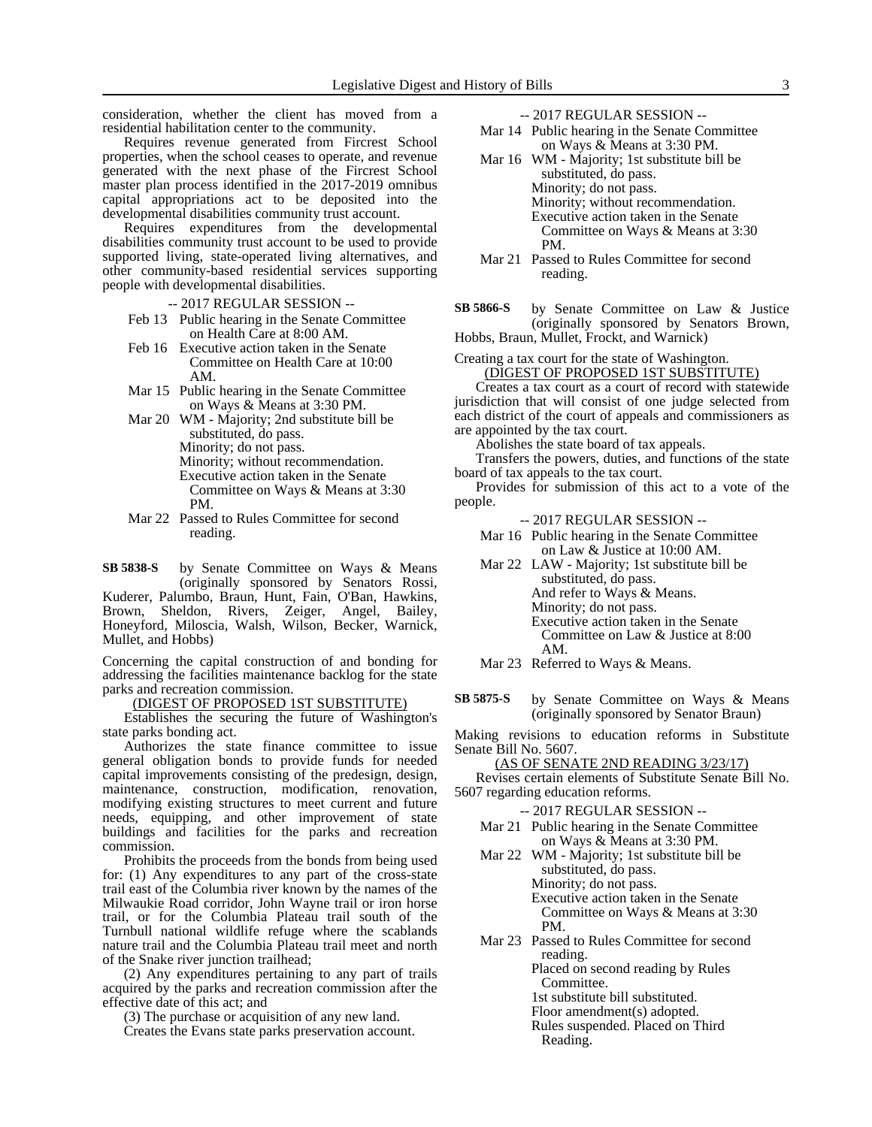consideration, whether the client has moved from a residential habilitation center to the community.

Requires revenue generated from Fircrest School properties, when the school ceases to operate, and revenue generated with the next phase of the Fircrest School master plan process identified in the 2017-2019 omnibus capital appropriations act to be deposited into the developmental disabilities community trust account.

Requires expenditures from the developmental disabilities community trust account to be used to provide supported living, state-operated living alternatives, and other community-based residential services supporting people with developmental disabilities.

-- 2017 REGULAR SESSION --

- Feb 13 Public hearing in the Senate Committee on Health Care at 8:00 AM.
- Feb 16 Executive action taken in the Senate Committee on Health Care at 10:00 AM.
- Mar 15 Public hearing in the Senate Committee on Ways & Means at 3:30 PM.
- Mar 20 WM Majority; 2nd substitute bill be substituted, do pass. Minority; do not pass.
	- Minority; without recommendation. Executive action taken in the Senate Committee on Ways & Means at 3:30 PM.
- Mar 22 Passed to Rules Committee for second reading.

by Senate Committee on Ways & Means (originally sponsored by Senators Rossi, Kuderer, Palumbo, Braun, Hunt, Fain, O'Ban, Hawkins, Brown, Sheldon, Rivers, Zeiger, Angel, Bailey, Honeyford, Miloscia, Walsh, Wilson, Becker, Warnick, Mullet, and Hobbs) **SB 5838-S**

Concerning the capital construction of and bonding for addressing the facilities maintenance backlog for the state parks and recreation commission.

(DIGEST OF PROPOSED 1ST SUBSTITUTE)

Establishes the securing the future of Washington's state parks bonding act.

Authorizes the state finance committee to issue general obligation bonds to provide funds for needed capital improvements consisting of the predesign, design, maintenance, construction, modification, renovation, modifying existing structures to meet current and future needs, equipping, and other improvement of state buildings and facilities for the parks and recreation commission.

Prohibits the proceeds from the bonds from being used for: (1) Any expenditures to any part of the cross-state trail east of the Columbia river known by the names of the Milwaukie Road corridor, John Wayne trail or iron horse trail, or for the Columbia Plateau trail south of the Turnbull national wildlife refuge where the scablands nature trail and the Columbia Plateau trail meet and north of the Snake river junction trailhead;

(2) Any expenditures pertaining to any part of trails acquired by the parks and recreation commission after the effective date of this act; and

(3) The purchase or acquisition of any new land.

Creates the Evans state parks preservation account.

-- 2017 REGULAR SESSION --

- Mar 14 Public hearing in the Senate Committee on Ways & Means at 3:30 PM.
- Mar 16 WM Majority; 1st substitute bill be substituted, do pass. Minority; do not pass. Minority; without recommendation. Executive action taken in the Senate Committee on Ways & Means at 3:30 PM.
- Mar 21 Passed to Rules Committee for second reading.

by Senate Committee on Law & Justice (originally sponsored by Senators Brown, **SB 5866-S**

Hobbs, Braun, Mullet, Frockt, and Warnick)

Creating a tax court for the state of Washington. (DIGEST OF PROPOSED 1ST SUBSTITUTE)

Creates a tax court as a court of record with statewide jurisdiction that will consist of one judge selected from each district of the court of appeals and commissioners as are appointed by the tax court.

Abolishes the state board of tax appeals.

Transfers the powers, duties, and functions of the state board of tax appeals to the tax court.

Provides for submission of this act to a vote of the people.

-- 2017 REGULAR SESSION --

- Mar 16 Public hearing in the Senate Committee on Law & Justice at 10:00 AM.
- Mar 22 LAW Majority; 1st substitute bill be substituted, do pass. And refer to Ways & Means. Minority; do not pass. Executive action taken in the Senate Committee on Law & Justice at 8:00 AM.

Mar 23 Referred to Ways & Means.

by Senate Committee on Ways & Means (originally sponsored by Senator Braun) **SB 5875-S**

Making revisions to education reforms in Substitute Senate Bill No. 5607.

(AS OF SENATE 2ND READING 3/23/17)

Revises certain elements of Substitute Senate Bill No. 5607 regarding education reforms.

-- 2017 REGULAR SESSION --

- Mar 21 Public hearing in the Senate Committee on Ways & Means at 3:30 PM.
- Mar 22 WM Majority; 1st substitute bill be substituted, do pass. Minority; do not pass. Executive action taken in the Senate Committee on Ways & Means at 3:30 PM.
- Mar 23 Passed to Rules Committee for second reading. Placed on second reading by Rules

Committee.

1st substitute bill substituted.

Floor amendment(s) adopted.

Rules suspended. Placed on Third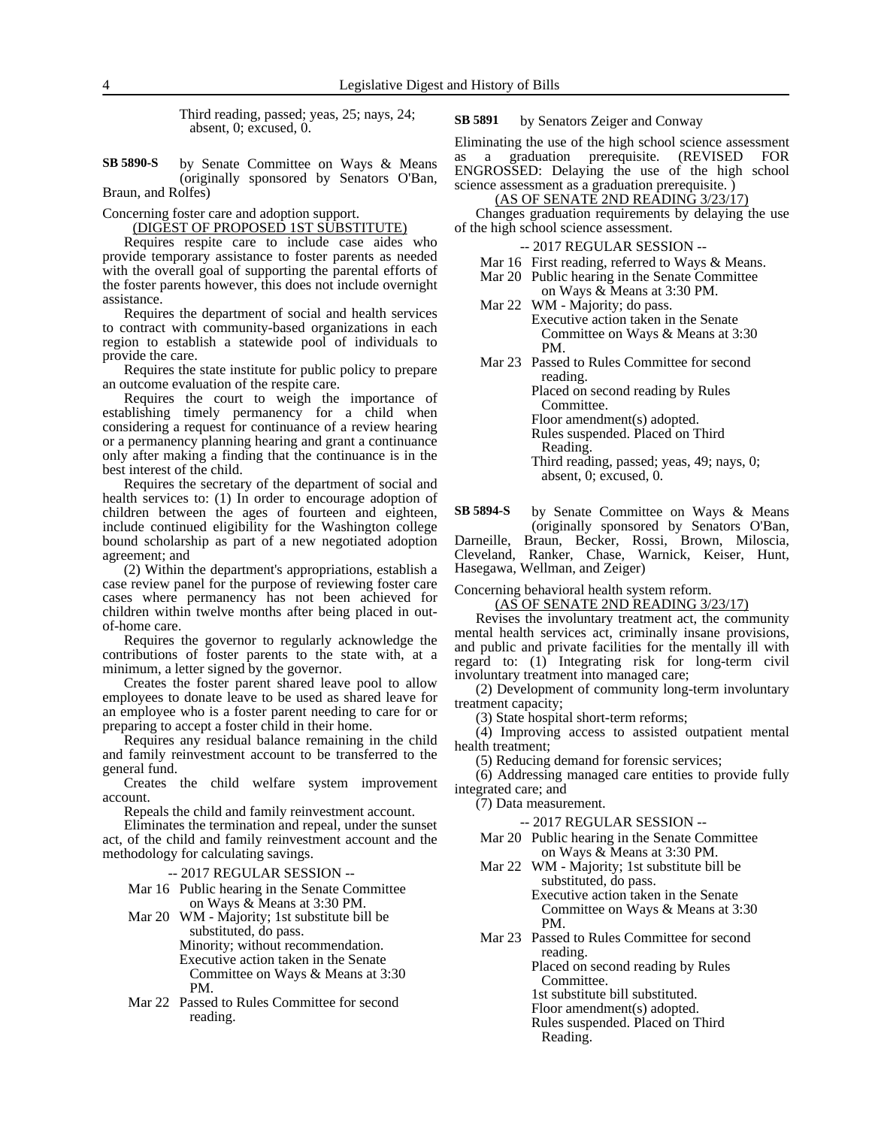Third reading, passed; yeas, 25; nays, 24; absent, 0; excused, 0.

by Senate Committee on Ways & Means (originally sponsored by Senators O'Ban, Braun, and Rolfes) **SB 5890-S**

Concerning foster care and adoption support.

(DIGEST OF PROPOSED 1ST SUBSTITUTE)

Requires respite care to include case aides who provide temporary assistance to foster parents as needed with the overall goal of supporting the parental efforts of the foster parents however, this does not include overnight assistance.

Requires the department of social and health services to contract with community-based organizations in each region to establish a statewide pool of individuals to provide the care.

Requires the state institute for public policy to prepare an outcome evaluation of the respite care.

Requires the court to weigh the importance of establishing timely permanency for a child when considering a request for continuance of a review hearing or a permanency planning hearing and grant a continuance only after making a finding that the continuance is in the best interest of the child.

Requires the secretary of the department of social and health services to: (1) In order to encourage adoption of children between the ages of fourteen and eighteen, include continued eligibility for the Washington college bound scholarship as part of a new negotiated adoption agreement; and

(2) Within the department's appropriations, establish a case review panel for the purpose of reviewing foster care cases where permanency has not been achieved for children within twelve months after being placed in outof-home care.

Requires the governor to regularly acknowledge the contributions of foster parents to the state with, at a minimum, a letter signed by the governor.

Creates the foster parent shared leave pool to allow employees to donate leave to be used as shared leave for an employee who is a foster parent needing to care for or preparing to accept a foster child in their home.

Requires any residual balance remaining in the child and family reinvestment account to be transferred to the general fund.

Creates the child welfare system improvement account.

Repeals the child and family reinvestment account.

Eliminates the termination and repeal, under the sunset act, of the child and family reinvestment account and the methodology for calculating savings.

-- 2017 REGULAR SESSION --

- Mar 16 Public hearing in the Senate Committee on Ways & Means at 3:30 PM.
- Mar 20 WM Majority; 1st substitute bill be substituted, do pass. Minority; without recommendation. Executive action taken in the Senate Committee on Ways & Means at 3:30 PM.
- Mar 22 Passed to Rules Committee for second reading.

by Senators Zeiger and Conway **SB 5891**

Eliminating the use of the high school science assessment as a graduation prerequisite. (REVISED FOR ENGROSSED: Delaying the use of the high school science assessment as a graduation prerequisite. )

(AS OF SENATE 2ND READING 3/23/17)

Changes graduation requirements by delaying the use of the high school science assessment.

-- 2017 REGULAR SESSION --

- Mar 16 First reading, referred to Ways & Means.
- Mar 20 Public hearing in the Senate Committee
- on Ways & Means at 3:30 PM. Mar 22 WM - Majority; do pass.

Executive action taken in the Senate Committee on Ways & Means at 3:30 PM.

Mar 23 Passed to Rules Committee for second reading. Placed on second reading by Rules Committee. Floor amendment(s) adopted. Rules suspended. Placed on Third Reading.

> Third reading, passed; yeas, 49; nays, 0; absent, 0; excused, 0.

by Senate Committee on Ways & Means (originally sponsored by Senators O'Ban, **SB 5894-S**

Darneille, Braun, Becker, Rossi, Brown, Miloscia, Cleveland, Ranker, Chase, Warnick, Keiser, Hunt, Hasegawa, Wellman, and Zeiger)

Concerning behavioral health system reform.

(AS OF SENATE 2ND READING 3/23/17)

Revises the involuntary treatment act, the community mental health services act, criminally insane provisions, and public and private facilities for the mentally ill with regard to: (1) Integrating risk for long-term civil involuntary treatment into managed care;

(2) Development of community long-term involuntary treatment capacity;

(3) State hospital short-term reforms;

(4) Improving access to assisted outpatient mental health treatment;

(5) Reducing demand for forensic services;

(6) Addressing managed care entities to provide fully integrated care; and

(7) Data measurement.

-- 2017 REGULAR SESSION --

Mar 20 Public hearing in the Senate Committee on Ways & Means at 3:30 PM.

Mar 22 WM - Majority; 1st substitute bill be substituted, do pass. Executive action taken in the Senate

Committee on Ways & Means at 3:30 PM.

Mar 23 Passed to Rules Committee for second reading.

Placed on second reading by Rules Committee.

1st substitute bill substituted.

Floor amendment(s) adopted.

Rules suspended. Placed on Third

Reading.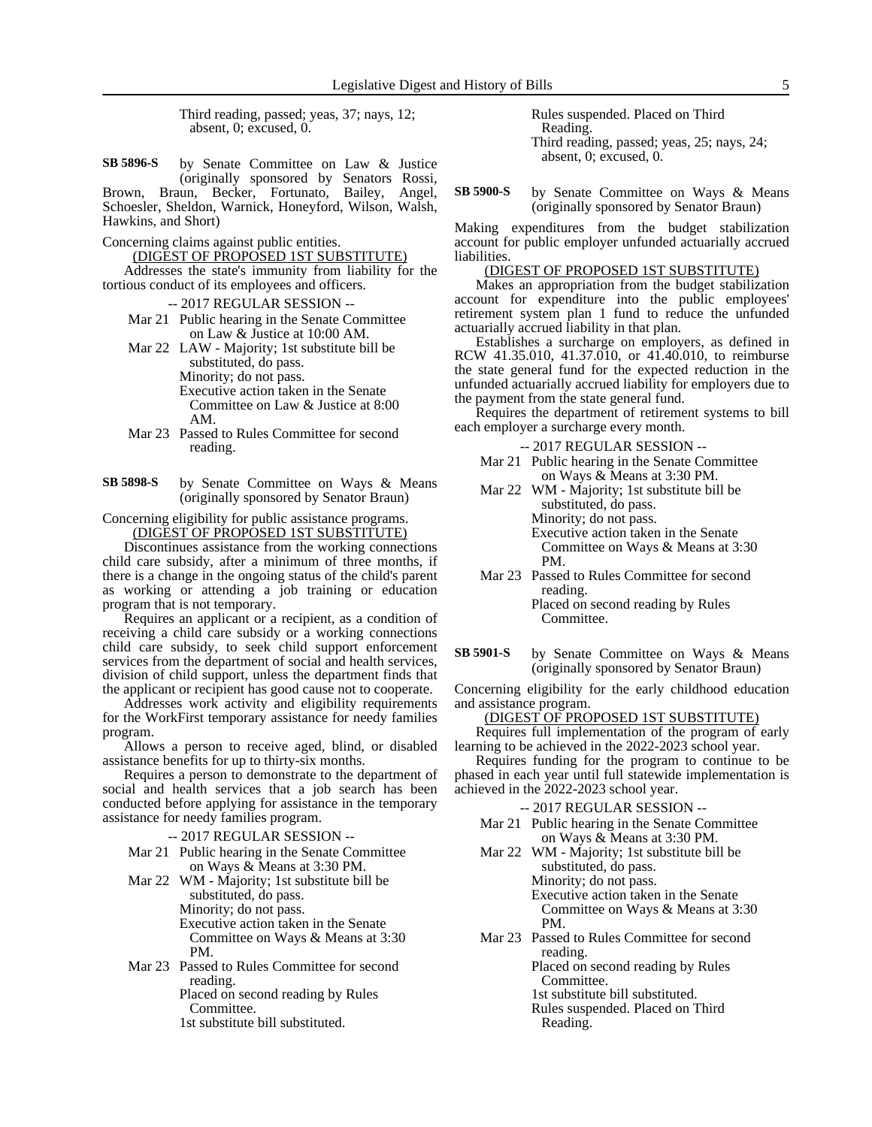Third reading, passed; yeas, 37; nays, 12; absent, 0; excused, 0.

- by Senate Committee on Law & Justice (originally sponsored by Senators Rossi, Brown, Braun, Becker, Fortunato, Bailey, Angel, Schoesler, Sheldon, Warnick, Honeyford, Wilson, Walsh, Hawkins, and Short) **SB 5896-S**
- Concerning claims against public entities.
	- (DIGEST OF PROPOSED 1ST SUBSTITUTE)

Addresses the state's immunity from liability for the tortious conduct of its employees and officers.

- -- 2017 REGULAR SESSION --
- Mar 21 Public hearing in the Senate Committee on Law & Justice at 10:00 AM.

Mar 22 LAW - Majority; 1st substitute bill be substituted, do pass. Minority; do not pass. Executive action taken in the Senate Committee on Law & Justice at 8:00 AM.

Mar 23 Passed to Rules Committee for second reading.

by Senate Committee on Ways & Means (originally sponsored by Senator Braun) **SB 5898-S**

Concerning eligibility for public assistance programs.

(DIGEST OF PROPOSED 1ST SUBSTITUTE)

Discontinues assistance from the working connections child care subsidy, after a minimum of three months, if there is a change in the ongoing status of the child's parent as working or attending a job training or education program that is not temporary.

Requires an applicant or a recipient, as a condition of receiving a child care subsidy or a working connections child care subsidy, to seek child support enforcement services from the department of social and health services, division of child support, unless the department finds that the applicant or recipient has good cause not to cooperate.

Addresses work activity and eligibility requirements for the WorkFirst temporary assistance for needy families program.

Allows a person to receive aged, blind, or disabled assistance benefits for up to thirty-six months.

Requires a person to demonstrate to the department of social and health services that a job search has been conducted before applying for assistance in the temporary assistance for needy families program.

-- 2017 REGULAR SESSION --

Mar 21 Public hearing in the Senate Committee on Ways & Means at 3:30 PM.

Mar 22 WM - Majority; 1st substitute bill be substituted, do pass. Minority; do not pass. Executive action taken in the Senate Committee on Ways & Means at 3:30 PM.

Mar 23 Passed to Rules Committee for second reading. Placed on second reading by Rules

Committee. 1st substitute bill substituted.

Rules suspended. Placed on Third Reading. Third reading, passed; yeas, 25; nays, 24; absent, 0; excused, 0.

by Senate Committee on Ways & Means (originally sponsored by Senator Braun) **SB 5900-S**

Making expenditures from the budget stabilization account for public employer unfunded actuarially accrued liabilities.

#### (DIGEST OF PROPOSED 1ST SUBSTITUTE)

Makes an appropriation from the budget stabilization account for expenditure into the public employees' retirement system plan 1 fund to reduce the unfunded actuarially accrued liability in that plan.

Establishes a surcharge on employers, as defined in RCW 41.35.010, 41.37.010, or 41.40.010, to reimburse the state general fund for the expected reduction in the unfunded actuarially accrued liability for employers due to the payment from the state general fund.

Requires the department of retirement systems to bill each employer a surcharge every month.

#### -- 2017 REGULAR SESSION --

- Mar 21 Public hearing in the Senate Committee on Ways & Means at 3:30 PM.
- Mar 22 WM Majority; 1st substitute bill be substituted, do pass. Minority; do not pass. Executive action taken in the Senate Committee on Ways & Means at 3:30 PM.
- Mar 23 Passed to Rules Committee for second reading. Placed on second reading by Rules Committee.
- by Senate Committee on Ways & Means (originally sponsored by Senator Braun) **SB 5901-S**

Concerning eligibility for the early childhood education and assistance program.

(DIGEST OF PROPOSED 1ST SUBSTITUTE)

Requires full implementation of the program of early learning to be achieved in the 2022-2023 school year.

Requires funding for the program to continue to be phased in each year until full statewide implementation is achieved in the 2022-2023 school year.

-- 2017 REGULAR SESSION --

Mar 21 Public hearing in the Senate Committee on Ways & Means at 3:30 PM.

Mar 22 WM - Majority; 1st substitute bill be substituted, do pass. Minority; do not pass. Executive action taken in the Senate Committee on Ways & Means at 3:30

PM. Mar 23 Passed to Rules Committee for second reading.

Placed on second reading by Rules Committee.

1st substitute bill substituted.

Rules suspended. Placed on Third Reading.